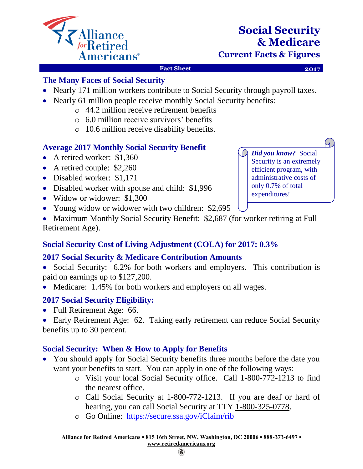

# **Social Security & Medicare**

**Current Facts & Figures**

#### **Fact Sheet 2017**

4

#### **The Many Faces of Social Security**

- Nearly 171 million workers contribute to Social Security through payroll taxes.
- Nearly 61 million people receive monthly Social Security benefits:
	- o 44.2 million receive retirement benefits
	- o 6.0 million receive survivors' benefits
	- o 10.6 million receive disability benefits.

## **Average 2017 Monthly Social Security Benefit**

- A retired worker: \$1,360
- A retired couple: \$2,260
- Disabled worker: \$1,171
- Disabled worker with spouse and child: \$1,996
- Widow or widower: \$1,300
- Young widow or widower with two children: \$2,695
- Maximum Monthly Social Security Benefit: \$2,687 (for worker retiring at Full Retirement Age).

# **Social Security Cost of Living Adjustment (COLA) for 2017: 0.3%**

## **2017 Social Security & Medicare Contribution Amounts**

- Social Security: 6.2% for both workers and employers. This contribution is paid on earnings up to \$127,200.
- Medicare: 1.45% for both workers and employers on all wages.

## **2017 Social Security Eligibility:**

• Full Retirement Age: 66.

• Early Retirement Age: 62. Taking early retirement can reduce Social Security benefits up to 30 percent.

## **Social Security: When & How to Apply for Benefits**

- You should apply for Social Security benefits three months before the date you want your benefits to start. You can apply in one of the following ways:
	- o Visit your local Social Security office. Call 1-800-772-1213 to find the nearest office.
	- o Call Social Security at 1-800-772-1213. If you are deaf or hard of hearing, you can call Social Security at TTY 1-800-325-0778.
	- o Go Online: <https://secure.ssa.gov/iClaim/rib>

O *Did you know?* Social Security is an extremely efficient program, with administrative costs of only 0.7% of total expenditures!